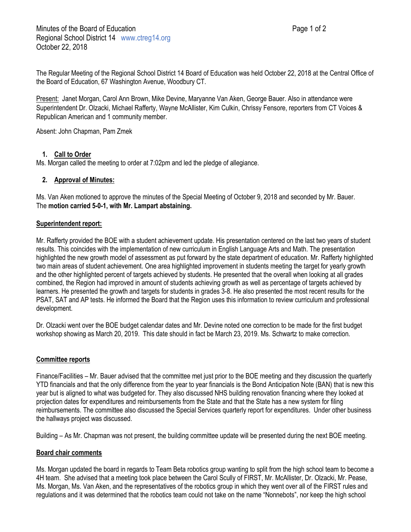The Regular Meeting of the Regional School District 14 Board of Education was held October 22, 2018 at the Central Office of the Board of Education, 67 Washington Avenue, Woodbury CT.

Present: Janet Morgan, Carol Ann Brown, Mike Devine, Maryanne Van Aken, George Bauer. Also in attendance were Superintendent Dr. Olzacki, Michael Rafferty, Wayne McAllister, Kim Culkin, Chrissy Fensore, reporters from CT Voices & Republican American and 1 community member.

Absent: John Chapman, Pam Zmek

# **1. Call to Order**

Ms. Morgan called the meeting to order at 7:02pm and led the pledge of allegiance.

# **2. Approval of Minutes:**

Ms. Van Aken motioned to approve the minutes of the Special Meeting of October 9, 2018 and seconded by Mr. Bauer. The **motion carried 5-0-1, with Mr. Lampart abstaining.**

# **Superintendent report:**

Mr. Rafferty provided the BOE with a student achievement update. His presentation centered on the last two years of student results. This coincides with the implementation of new curriculum in English Language Arts and Math. The presentation highlighted the new growth model of assessment as put forward by the state department of education. Mr. Rafferty highlighted two main areas of student achievement. One area highlighted improvement in students meeting the target for yearly growth and the other highlighted percent of targets achieved by students. He presented that the overall when looking at all grades combined, the Region had improved in amount of students achieving growth as well as percentage of targets achieved by learners. He presented the growth and targets for students in grades 3-8. He also presented the most recent results for the PSAT, SAT and AP tests. He informed the Board that the Region uses this information to review curriculum and professional development.

Dr. Olzacki went over the BOE budget calendar dates and Mr. Devine noted one correction to be made for the first budget workshop showing as March 20, 2019. This date should in fact be March 23, 2019. Ms. Schwartz to make correction.

## **Committee reports**

Finance/Facilities – Mr. Bauer advised that the committee met just prior to the BOE meeting and they discussion the quarterly YTD financials and that the only difference from the year to year financials is the Bond Anticipation Note (BAN) that is new this year but is aligned to what was budgeted for. They also discussed NHS building renovation financing where they looked at projection dates for expenditures and reimbursements from the State and that the State has a new system for filing reimbursements. The committee also discussed the Special Services quarterly report for expenditures. Under other business the hallways project was discussed.

Building – As Mr. Chapman was not present, the building committee update will be presented during the next BOE meeting.

## **Board chair comments**

Ms. Morgan updated the board in regards to Team Beta robotics group wanting to split from the high school team to become a 4H team. She advised that a meeting took place between the Carol Scully of FIRST, Mr. McAllister, Dr. Olzacki, Mr. Pease, Ms. Morgan, Ms. Van Aken, and the representatives of the robotics group in which they went over all of the FIRST rules and regulations and it was determined that the robotics team could not take on the name "Nonnebots", nor keep the high school